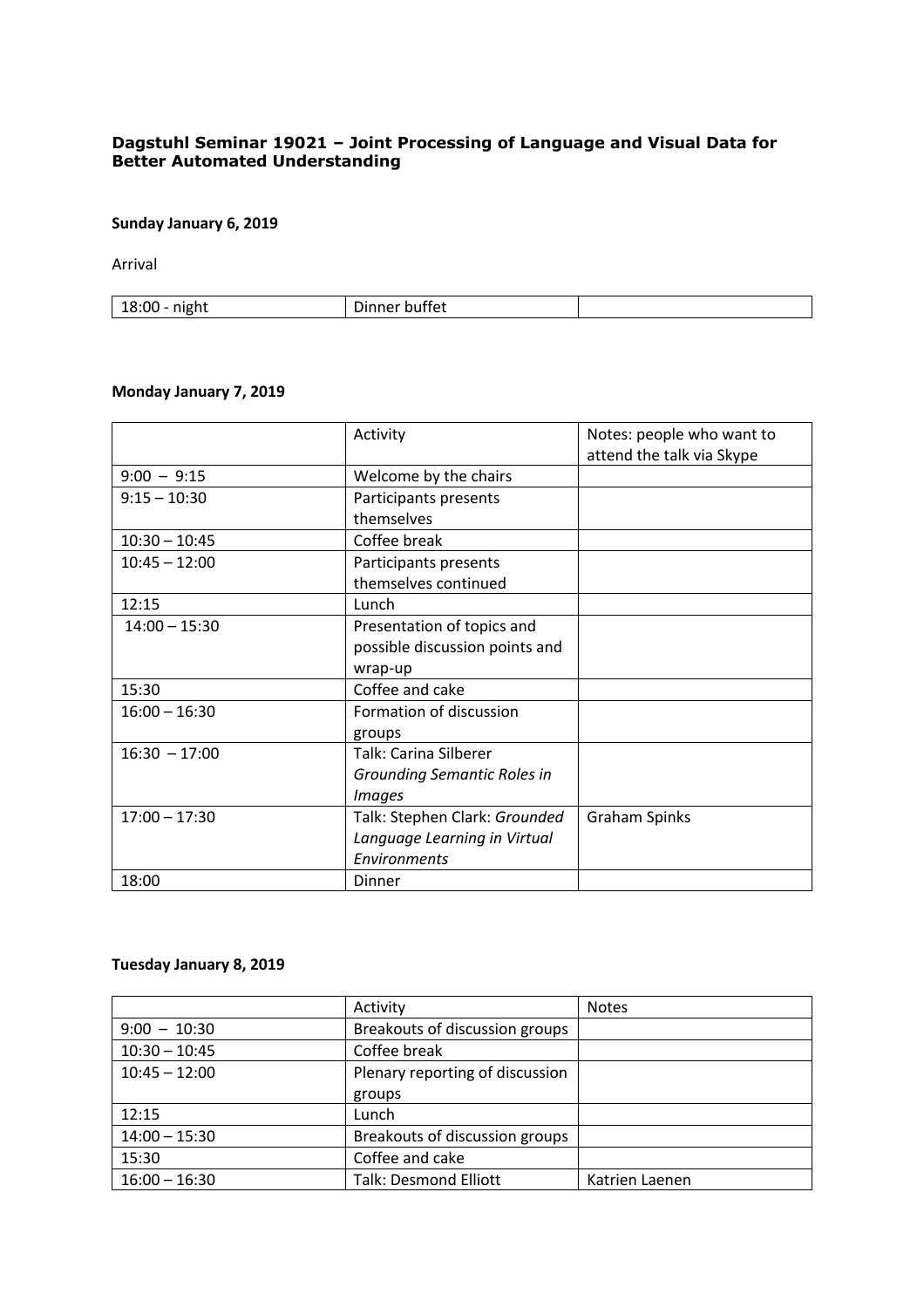### **Dagstuhl Seminar 19021 – Joint Processing of Language and Visual Data for Better Automated Understanding**

## **Sunday January 6, 2019**

Arrival

| $\vert$ 18:00 - night | Dinner buffet |  |
|-----------------------|---------------|--|
|-----------------------|---------------|--|

### **Monday January 7, 2019**

|                 | Activity                           | Notes: people who want to |
|-----------------|------------------------------------|---------------------------|
|                 |                                    | attend the talk via Skype |
| $9:00 - 9:15$   | Welcome by the chairs              |                           |
| $9:15 - 10:30$  | Participants presents              |                           |
|                 | themselves                         |                           |
| $10:30 - 10:45$ | Coffee break                       |                           |
| $10:45 - 12:00$ | Participants presents              |                           |
|                 | themselves continued               |                           |
| 12:15           | Lunch                              |                           |
| $14:00 - 15:30$ | Presentation of topics and         |                           |
|                 | possible discussion points and     |                           |
|                 | wrap-up                            |                           |
| 15:30           | Coffee and cake                    |                           |
| $16:00 - 16:30$ | Formation of discussion            |                           |
|                 | groups                             |                           |
| $16:30 - 17:00$ | <b>Talk: Carina Silberer</b>       |                           |
|                 | <b>Grounding Semantic Roles in</b> |                           |
|                 | <i>Images</i>                      |                           |
| $17:00 - 17:30$ | Talk: Stephen Clark: Grounded      | <b>Graham Spinks</b>      |
|                 | Language Learning in Virtual       |                           |
|                 | Environments                       |                           |
| 18:00           | Dinner                             |                           |

#### **Tuesday January 8, 2019**

|                 | Activity                        | <b>Notes</b>   |
|-----------------|---------------------------------|----------------|
| $9:00 - 10:30$  | Breakouts of discussion groups  |                |
| $10:30 - 10:45$ | Coffee break                    |                |
| $10:45 - 12:00$ | Plenary reporting of discussion |                |
|                 | groups                          |                |
| 12:15           | Lunch                           |                |
| $14:00 - 15:30$ | Breakouts of discussion groups  |                |
| 15:30           | Coffee and cake                 |                |
| $16:00 - 16:30$ | <b>Talk: Desmond Elliott</b>    | Katrien Laenen |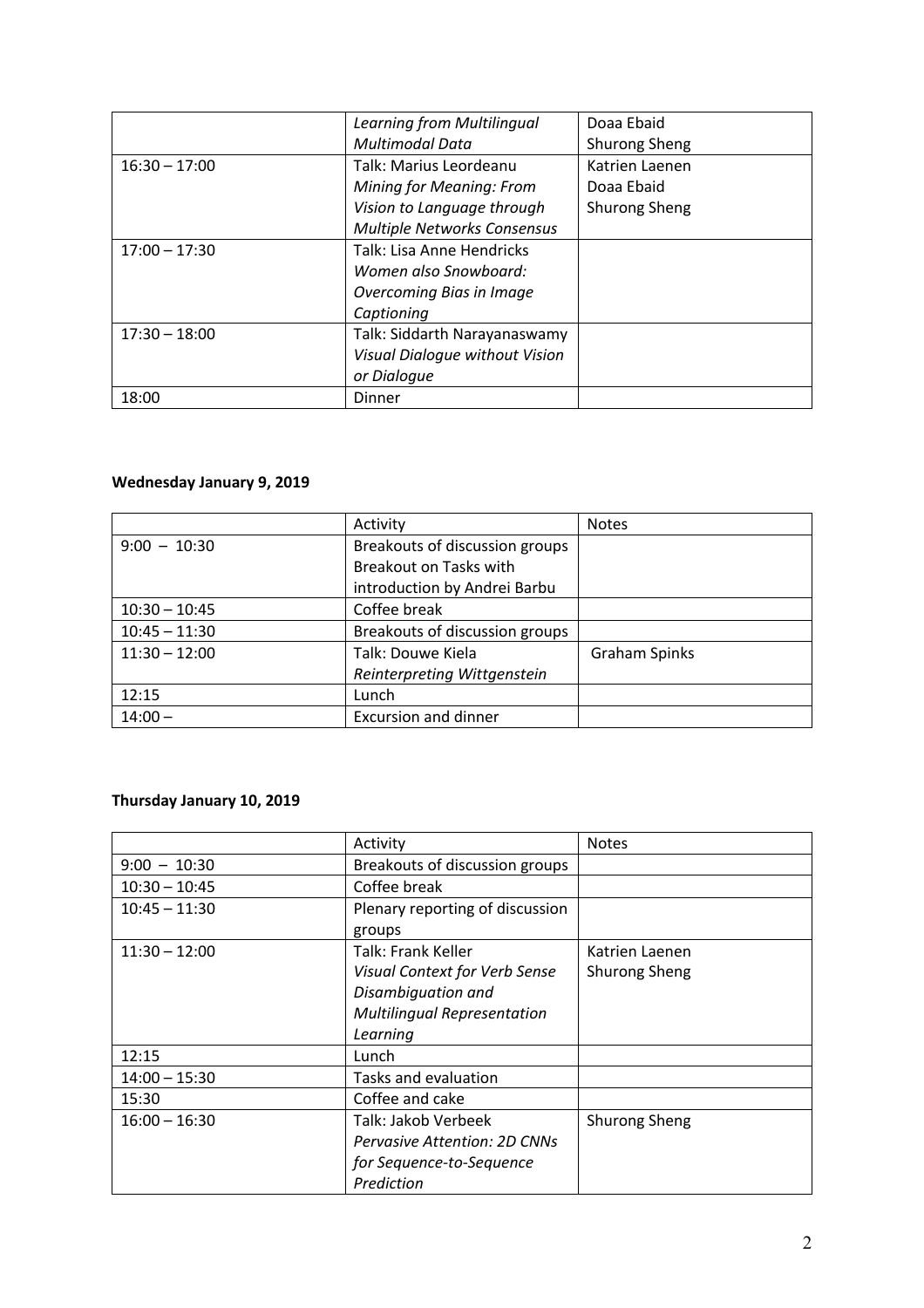|                 | Learning from Multilingual         | Doaa Ebaid           |
|-----------------|------------------------------------|----------------------|
|                 | Multimodal Data                    | <b>Shurong Sheng</b> |
| $16:30 - 17:00$ | Talk: Marius Leordeanu             | Katrien Laenen       |
|                 | Mining for Meaning: From           | Doaa Ebaid           |
|                 | Vision to Language through         | <b>Shurong Sheng</b> |
|                 | <b>Multiple Networks Consensus</b> |                      |
| $17:00 - 17:30$ | <b>Talk: Lisa Anne Hendricks</b>   |                      |
|                 | Women also Snowboard:              |                      |
|                 | Overcoming Bias in Image           |                      |
|                 | Captioning                         |                      |
| $17:30 - 18:00$ | Talk: Siddarth Narayanaswamy       |                      |
|                 | Visual Dialogue without Vision     |                      |
|                 | or Dialogue                        |                      |
| 18:00           | Dinner                             |                      |

## **Wednesday January 9, 2019**

|                 | Activity                       | <b>Notes</b>         |
|-----------------|--------------------------------|----------------------|
| $9:00 - 10:30$  | Breakouts of discussion groups |                      |
|                 | Breakout on Tasks with         |                      |
|                 | introduction by Andrei Barbu   |                      |
| $10:30 - 10:45$ | Coffee break                   |                      |
| $10:45 - 11:30$ | Breakouts of discussion groups |                      |
| $11:30 - 12:00$ | Talk: Douwe Kiela              | <b>Graham Spinks</b> |
|                 | Reinterpreting Wittgenstein    |                      |
| 12:15           | Lunch                          |                      |
| $14:00 -$       | <b>Excursion and dinner</b>    |                      |

# **Thursday January 10, 2019**

|                 | Activity                             | <b>Notes</b>         |
|-----------------|--------------------------------------|----------------------|
| $9:00 - 10:30$  | Breakouts of discussion groups       |                      |
| $10:30 - 10:45$ | Coffee break                         |                      |
| $10:45 - 11:30$ | Plenary reporting of discussion      |                      |
|                 | groups                               |                      |
| $11:30 - 12:00$ | Talk: Frank Keller                   | Katrien Laenen       |
|                 | <b>Visual Context for Verb Sense</b> | Shurong Sheng        |
|                 | Disambiguation and                   |                      |
|                 | <b>Multilingual Representation</b>   |                      |
|                 | Learning                             |                      |
| 12:15           | Lunch                                |                      |
| $14:00 - 15:30$ | Tasks and evaluation                 |                      |
| 15:30           | Coffee and cake                      |                      |
| $16:00 - 16:30$ | Talk: Jakob Verbeek                  | <b>Shurong Sheng</b> |
|                 | <b>Pervasive Attention: 2D CNNs</b>  |                      |
|                 | for Sequence-to-Sequence             |                      |
|                 | Prediction                           |                      |